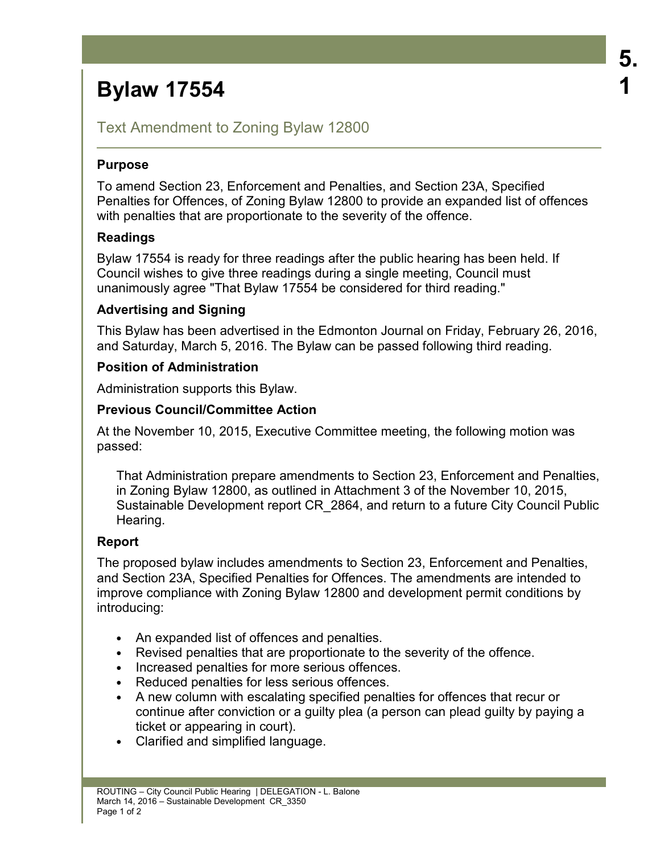# **Bylaw 17554**

# Text Amendment to Zoning Bylaw 12800

# **Purpose**

To amend Section 23, Enforcement and Penalties, and Section 23A, Specified Penalties for Offences, of Zoning Bylaw 12800 to provide an expanded list of offences with penalties that are proportionate to the severity of the offence.

# **Readings**

Bylaw 17554 is ready for three readings after the public hearing has been held. If Council wishes to give three readings during a single meeting, Council must unanimously agree "That Bylaw 17554 be considered for third reading."

# **Advertising and Signing**

This Bylaw has been advertised in the Edmonton Journal on Friday, February 26, 2016, and Saturday, March 5, 2016. The Bylaw can be passed following third reading.

# **Position of Administration**

Administration supports this Bylaw.

# **Previous Council/Committee Action**

At the November 10, 2015, Executive Committee meeting, the following motion was passed:

That Administration prepare amendments to Section 23, Enforcement and Penalties, in Zoning Bylaw 12800, as outlined in Attachment 3 of the November 10, 2015, Sustainable Development report CR\_2864, and return to a future City Council Public Hearing.

# **Report**

The proposed bylaw includes amendments to Section 23, Enforcement and Penalties, and Section 23A, Specified Penalties for Offences. The amendments are intended to improve compliance with Zoning Bylaw 12800 and development permit conditions by introducing:

- An expanded list of offences and penalties.
- Revised penalties that are proportionate to the severity of the offence.
- Increased penalties for more serious offences.
- Reduced penalties for less serious offences.
- A new column with escalating specified penalties for offences that recur or continue after conviction or a guilty plea (a person can plead guilty by paying a ticket or appearing in court).
- Clarified and simplified language.